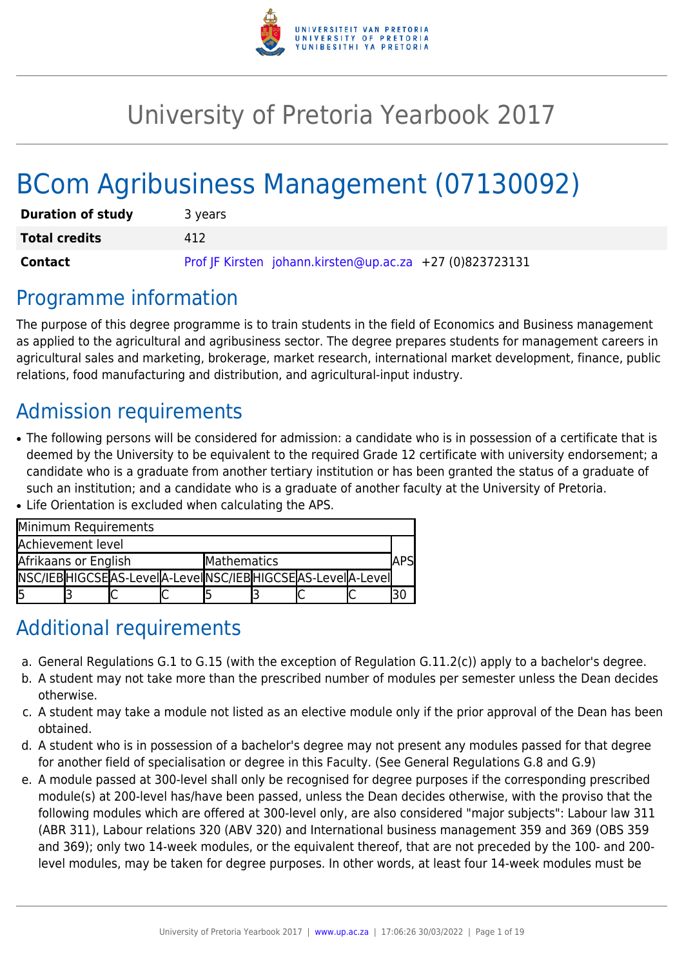

# University of Pretoria Yearbook 2017

# BCom Agribusiness Management (07130092)

| <b>Duration of study</b> | 3 years                                                  |
|--------------------------|----------------------------------------------------------|
| <b>Total credits</b>     | 412                                                      |
| <b>Contact</b>           | Prof JF Kirsten johann.kirsten@up.ac.za +27 (0)823723131 |

## Programme information

The purpose of this degree programme is to train students in the field of Economics and Business management as applied to the agricultural and agribusiness sector. The degree prepares students for management careers in agricultural sales and marketing, brokerage, market research, international market development, finance, public relations, food manufacturing and distribution, and agricultural-input industry.

## Admission requirements

- The following persons will be considered for admission: a candidate who is in possession of a certificate that is deemed by the University to be equivalent to the required Grade 12 certificate with university endorsement; a candidate who is a graduate from another tertiary institution or has been granted the status of a graduate of such an institution; and a candidate who is a graduate of another faculty at the University of Pretoria.
- Life Orientation is excluded when calculating the APS.

|                      | Minimum Requirements                                            |                    |  |  |
|----------------------|-----------------------------------------------------------------|--------------------|--|--|
| Achievement level    |                                                                 |                    |  |  |
| Afrikaans or English |                                                                 | <b>Mathematics</b> |  |  |
|                      | NSC/IEB HIGCSE AS-LeveI A-LeveI NSC/IEB HIGCSE AS-LeveI A-LeveI |                    |  |  |
| I5                   |                                                                 |                    |  |  |

## Additional requirements

- a. General Regulations G.1 to G.15 (with the exception of Regulation G.11.2(c)) apply to a bachelor's degree.
- b. A student may not take more than the prescribed number of modules per semester unless the Dean decides otherwise.
- c. A student may take a module not listed as an elective module only if the prior approval of the Dean has been obtained.
- d. A student who is in possession of a bachelor's degree may not present any modules passed for that degree for another field of specialisation or degree in this Faculty. (See General Regulations G.8 and G.9)
- e. A module passed at 300-level shall only be recognised for degree purposes if the corresponding prescribed module(s) at 200-level has/have been passed, unless the Dean decides otherwise, with the proviso that the following modules which are offered at 300-level only, are also considered "major subjects": Labour law 311 (ABR 311), Labour relations 320 (ABV 320) and International business management 359 and 369 (OBS 359 and 369); only two 14-week modules, or the equivalent thereof, that are not preceded by the 100- and 200 level modules, may be taken for degree purposes. In other words, at least four 14-week modules must be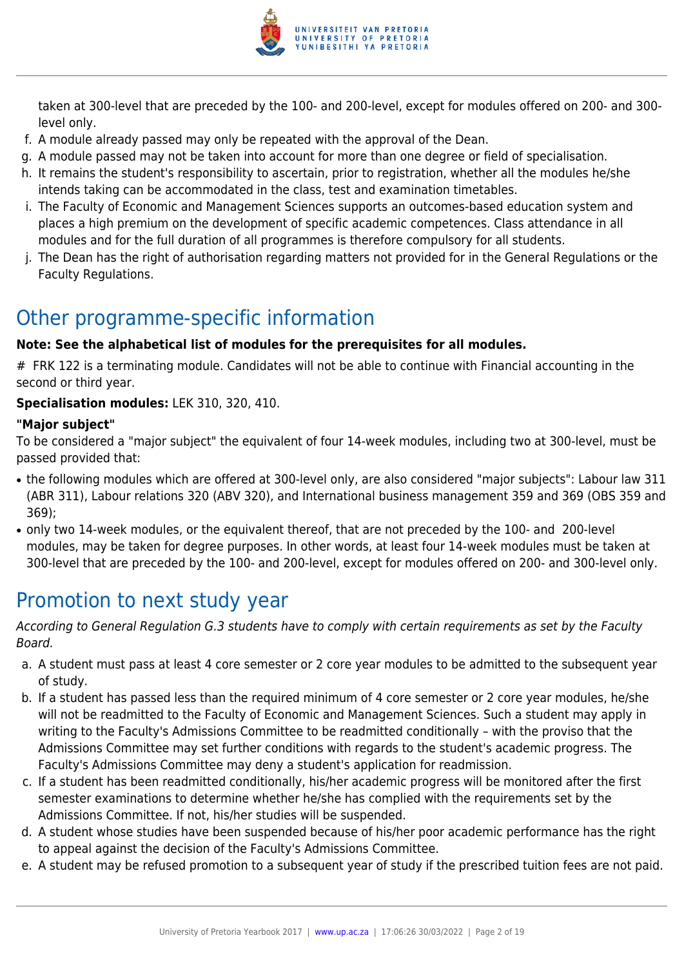

taken at 300-level that are preceded by the 100- and 200-level, except for modules offered on 200- and 300 level only.

- f. A module already passed may only be repeated with the approval of the Dean.
- g. A module passed may not be taken into account for more than one degree or field of specialisation.
- h. It remains the student's responsibility to ascertain, prior to registration, whether all the modules he/she intends taking can be accommodated in the class, test and examination timetables.
- i. The Faculty of Economic and Management Sciences supports an outcomes-based education system and places a high premium on the development of specific academic competences. Class attendance in all modules and for the full duration of all programmes is therefore compulsory for all students.
- j. The Dean has the right of authorisation regarding matters not provided for in the General Regulations or the Faculty Regulations.

## Other programme-specific information

## **Note: See the alphabetical list of modules for the prerequisites for all modules.**

# FRK 122 is a terminating module. Candidates will not be able to continue with Financial accounting in the second or third year.

#### **Specialisation modules:** LEK 310, 320, 410.

#### **"Major subject"**

To be considered a "major subject" the equivalent of four 14-week modules, including two at 300-level, must be passed provided that:

- the following modules which are offered at 300-level only, are also considered "major subjects": Labour law 311 (ABR 311), Labour relations 320 (ABV 320), and International business management 359 and 369 (OBS 359 and 369);
- only two 14-week modules, or the equivalent thereof, that are not preceded by the 100- and 200-level modules, may be taken for degree purposes. In other words, at least four 14-week modules must be taken at 300-level that are preceded by the 100- and 200-level, except for modules offered on 200- and 300-level only.

## Promotion to next study year

According to General Regulation G.3 students have to comply with certain requirements as set by the Faculty Board.

- a. A student must pass at least 4 core semester or 2 core year modules to be admitted to the subsequent year of study.
- b. If a student has passed less than the required minimum of 4 core semester or 2 core year modules, he/she will not be readmitted to the Faculty of Economic and Management Sciences. Such a student may apply in writing to the Faculty's Admissions Committee to be readmitted conditionally – with the proviso that the Admissions Committee may set further conditions with regards to the student's academic progress. The Faculty's Admissions Committee may deny a student's application for readmission.
- c. If a student has been readmitted conditionally, his/her academic progress will be monitored after the first semester examinations to determine whether he/she has complied with the requirements set by the Admissions Committee. If not, his/her studies will be suspended.
- d. A student whose studies have been suspended because of his/her poor academic performance has the right to appeal against the decision of the Faculty's Admissions Committee.
- e. A student may be refused promotion to a subsequent year of study if the prescribed tuition fees are not paid.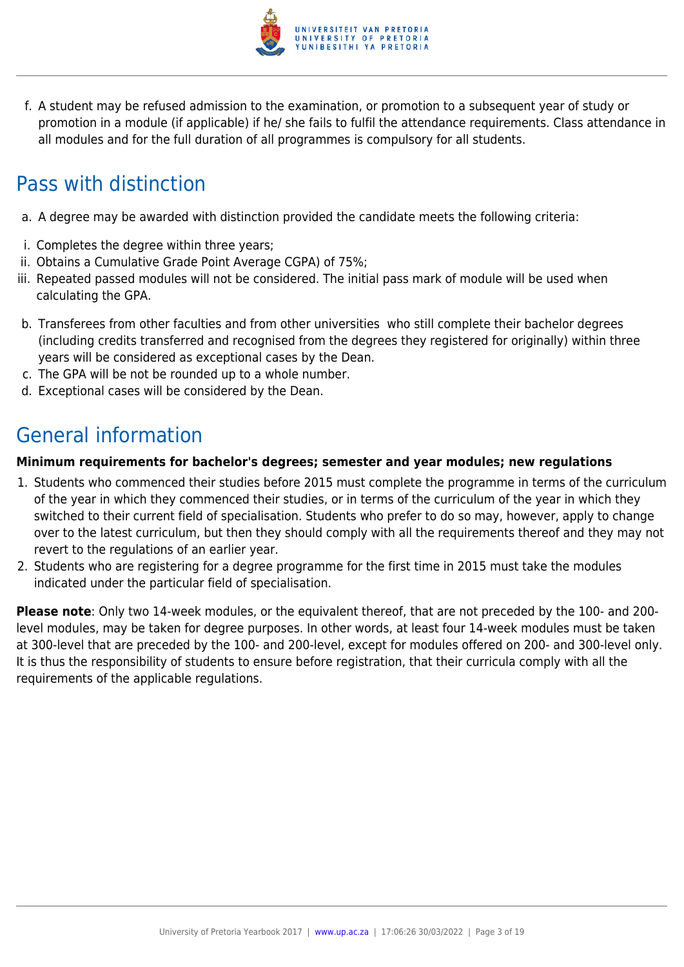

f. A student may be refused admission to the examination, or promotion to a subsequent year of study or promotion in a module (if applicable) if he/ she fails to fulfil the attendance requirements. Class attendance in all modules and for the full duration of all programmes is compulsory for all students.

## Pass with distinction

- a. A degree may be awarded with distinction provided the candidate meets the following criteria:
- i. Completes the degree within three years;
- ii. Obtains a Cumulative Grade Point Average CGPA) of 75%;
- iii. Repeated passed modules will not be considered. The initial pass mark of module will be used when calculating the GPA.
- b. Transferees from other faculties and from other universities who still complete their bachelor degrees (including credits transferred and recognised from the degrees they registered for originally) within three years will be considered as exceptional cases by the Dean.
- c. The GPA will be not be rounded up to a whole number.
- d. Exceptional cases will be considered by the Dean.

## General information

#### **Minimum requirements for bachelor's degrees; semester and year modules; new regulations**

- 1. Students who commenced their studies before 2015 must complete the programme in terms of the curriculum of the year in which they commenced their studies, or in terms of the curriculum of the year in which they switched to their current field of specialisation. Students who prefer to do so may, however, apply to change over to the latest curriculum, but then they should comply with all the requirements thereof and they may not revert to the regulations of an earlier year.
- 2. Students who are registering for a degree programme for the first time in 2015 must take the modules indicated under the particular field of specialisation.

**Please note**: Only two 14-week modules, or the equivalent thereof, that are not preceded by the 100- and 200 level modules, may be taken for degree purposes. In other words, at least four 14-week modules must be taken at 300-level that are preceded by the 100- and 200-level, except for modules offered on 200- and 300-level only. It is thus the responsibility of students to ensure before registration, that their curricula comply with all the requirements of the applicable regulations.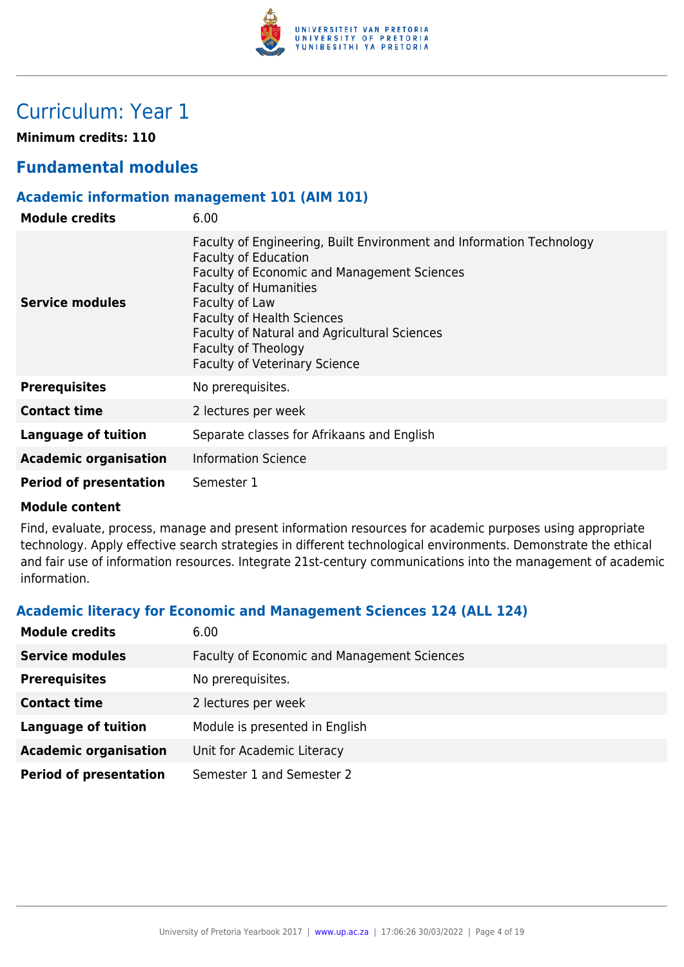

## Curriculum: Year 1

**Minimum credits: 110**

## **Fundamental modules**

#### **Academic information management 101 (AIM 101)**

| <b>Module credits</b>         | 6.00                                                                                                                                                                                                                                                                                                                                                     |
|-------------------------------|----------------------------------------------------------------------------------------------------------------------------------------------------------------------------------------------------------------------------------------------------------------------------------------------------------------------------------------------------------|
| Service modules               | Faculty of Engineering, Built Environment and Information Technology<br><b>Faculty of Education</b><br>Faculty of Economic and Management Sciences<br><b>Faculty of Humanities</b><br>Faculty of Law<br><b>Faculty of Health Sciences</b><br>Faculty of Natural and Agricultural Sciences<br>Faculty of Theology<br><b>Faculty of Veterinary Science</b> |
| <b>Prerequisites</b>          | No prerequisites.                                                                                                                                                                                                                                                                                                                                        |
| <b>Contact time</b>           | 2 lectures per week                                                                                                                                                                                                                                                                                                                                      |
| Language of tuition           | Separate classes for Afrikaans and English                                                                                                                                                                                                                                                                                                               |
| <b>Academic organisation</b>  | <b>Information Science</b>                                                                                                                                                                                                                                                                                                                               |
| <b>Period of presentation</b> | Semester 1                                                                                                                                                                                                                                                                                                                                               |

#### **Module content**

Find, evaluate, process, manage and present information resources for academic purposes using appropriate technology. Apply effective search strategies in different technological environments. Demonstrate the ethical and fair use of information resources. Integrate 21st-century communications into the management of academic information.

## **Academic literacy for Economic and Management Sciences 124 (ALL 124)**

| <b>Module credits</b>         | 6.00                                               |
|-------------------------------|----------------------------------------------------|
| <b>Service modules</b>        | <b>Faculty of Economic and Management Sciences</b> |
| <b>Prerequisites</b>          | No prerequisites.                                  |
| <b>Contact time</b>           | 2 lectures per week                                |
| <b>Language of tuition</b>    | Module is presented in English                     |
| <b>Academic organisation</b>  | Unit for Academic Literacy                         |
| <b>Period of presentation</b> | Semester 1 and Semester 2                          |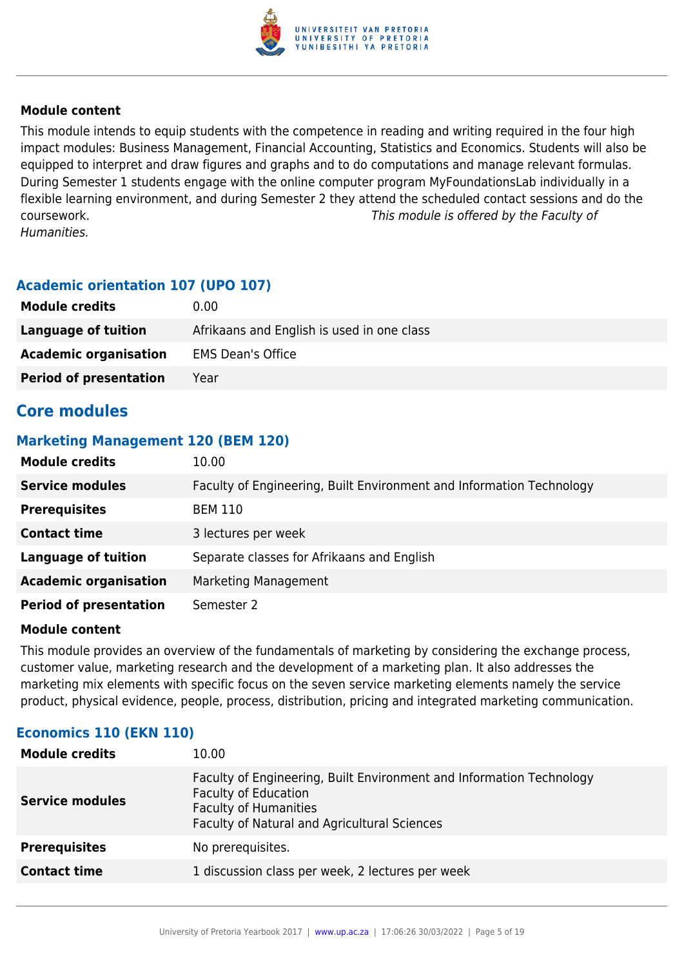

This module intends to equip students with the competence in reading and writing required in the four high impact modules: Business Management, Financial Accounting, Statistics and Economics. Students will also be equipped to interpret and draw figures and graphs and to do computations and manage relevant formulas. During Semester 1 students engage with the online computer program MyFoundationsLab individually in a flexible learning environment, and during Semester 2 they attend the scheduled contact sessions and do the coursework. This module is offered by the Faculty of Humanities.

## **Academic orientation 107 (UPO 107)**

| <b>Module credits</b>         | 0.00                                       |
|-------------------------------|--------------------------------------------|
| Language of tuition           | Afrikaans and English is used in one class |
| <b>Academic organisation</b>  | <b>EMS Dean's Office</b>                   |
| <b>Period of presentation</b> | Year                                       |

## **Core modules**

#### **Marketing Management 120 (BEM 120)**

| <b>Module credits</b>         | 10.00                                                                |
|-------------------------------|----------------------------------------------------------------------|
| <b>Service modules</b>        | Faculty of Engineering, Built Environment and Information Technology |
| <b>Prerequisites</b>          | <b>BEM 110</b>                                                       |
| <b>Contact time</b>           | 3 lectures per week                                                  |
| <b>Language of tuition</b>    | Separate classes for Afrikaans and English                           |
| <b>Academic organisation</b>  | Marketing Management                                                 |
| <b>Period of presentation</b> | Semester 2                                                           |

#### **Module content**

This module provides an overview of the fundamentals of marketing by considering the exchange process, customer value, marketing research and the development of a marketing plan. It also addresses the marketing mix elements with specific focus on the seven service marketing elements namely the service product, physical evidence, people, process, distribution, pricing and integrated marketing communication.

## **Economics 110 (EKN 110)**

| <b>Module credits</b>  | 10.00                                                                                                                                                                               |
|------------------------|-------------------------------------------------------------------------------------------------------------------------------------------------------------------------------------|
| <b>Service modules</b> | Faculty of Engineering, Built Environment and Information Technology<br><b>Faculty of Education</b><br><b>Faculty of Humanities</b><br>Faculty of Natural and Agricultural Sciences |
| <b>Prerequisites</b>   | No prerequisites.                                                                                                                                                                   |
| <b>Contact time</b>    | 1 discussion class per week, 2 lectures per week                                                                                                                                    |
|                        |                                                                                                                                                                                     |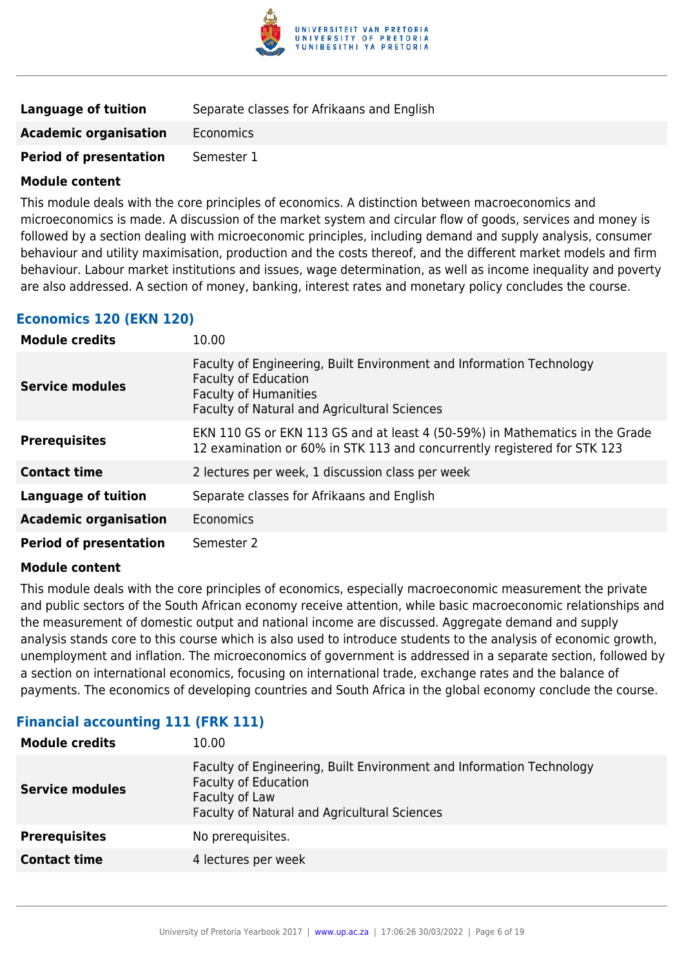

| <b>Language of tuition</b>    | Separate classes for Afrikaans and English |
|-------------------------------|--------------------------------------------|
| <b>Academic organisation</b>  | Economics                                  |
| <b>Period of presentation</b> | Semester 1                                 |

This module deals with the core principles of economics. A distinction between macroeconomics and microeconomics is made. A discussion of the market system and circular flow of goods, services and money is followed by a section dealing with microeconomic principles, including demand and supply analysis, consumer behaviour and utility maximisation, production and the costs thereof, and the different market models and firm behaviour. Labour market institutions and issues, wage determination, as well as income inequality and poverty are also addressed. A section of money, banking, interest rates and monetary policy concludes the course.

#### **Economics 120 (EKN 120)**

| <b>Module credits</b>         | 10.00                                                                                                                                                                                      |
|-------------------------------|--------------------------------------------------------------------------------------------------------------------------------------------------------------------------------------------|
| <b>Service modules</b>        | Faculty of Engineering, Built Environment and Information Technology<br><b>Faculty of Education</b><br><b>Faculty of Humanities</b><br><b>Faculty of Natural and Agricultural Sciences</b> |
| <b>Prerequisites</b>          | EKN 110 GS or EKN 113 GS and at least 4 (50-59%) in Mathematics in the Grade<br>12 examination or 60% in STK 113 and concurrently registered for STK 123                                   |
| <b>Contact time</b>           | 2 lectures per week, 1 discussion class per week                                                                                                                                           |
| <b>Language of tuition</b>    | Separate classes for Afrikaans and English                                                                                                                                                 |
| <b>Academic organisation</b>  | Economics                                                                                                                                                                                  |
| <b>Period of presentation</b> | Semester 2                                                                                                                                                                                 |

#### **Module content**

This module deals with the core principles of economics, especially macroeconomic measurement the private and public sectors of the South African economy receive attention, while basic macroeconomic relationships and the measurement of domestic output and national income are discussed. Aggregate demand and supply analysis stands core to this course which is also used to introduce students to the analysis of economic growth, unemployment and inflation. The microeconomics of government is addressed in a separate section, followed by a section on international economics, focusing on international trade, exchange rates and the balance of payments. The economics of developing countries and South Africa in the global economy conclude the course.

## **Financial accounting 111 (FRK 111)**

| 10.00                                                                                                                                                                 |
|-----------------------------------------------------------------------------------------------------------------------------------------------------------------------|
| Faculty of Engineering, Built Environment and Information Technology<br><b>Faculty of Education</b><br>Faculty of Law<br>Faculty of Natural and Agricultural Sciences |
| No prerequisites.                                                                                                                                                     |
| 4 lectures per week                                                                                                                                                   |
|                                                                                                                                                                       |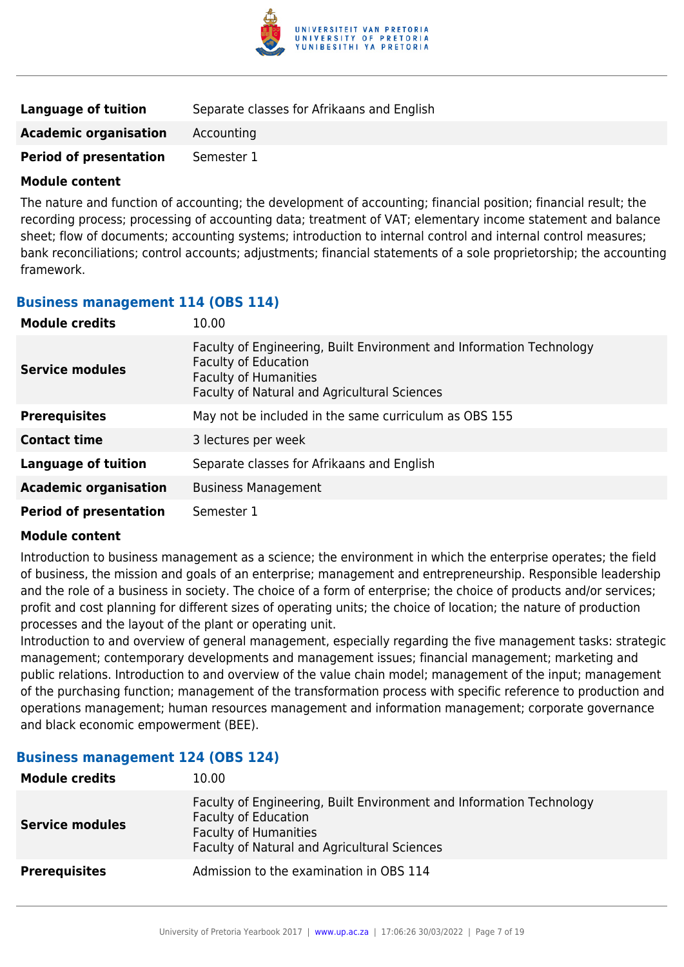

| Language of tuition           | Separate classes for Afrikaans and English |
|-------------------------------|--------------------------------------------|
| <b>Academic organisation</b>  | Accounting                                 |
| <b>Period of presentation</b> | Semester 1                                 |

The nature and function of accounting; the development of accounting; financial position; financial result; the recording process; processing of accounting data; treatment of VAT; elementary income statement and balance sheet; flow of documents; accounting systems; introduction to internal control and internal control measures; bank reconciliations; control accounts; adjustments; financial statements of a sole proprietorship; the accounting framework.

#### **Business management 114 (OBS 114)**

| <b>Module credits</b>         | 10.00                                                                                                                                                                               |  |
|-------------------------------|-------------------------------------------------------------------------------------------------------------------------------------------------------------------------------------|--|
| <b>Service modules</b>        | Faculty of Engineering, Built Environment and Information Technology<br><b>Faculty of Education</b><br><b>Faculty of Humanities</b><br>Faculty of Natural and Agricultural Sciences |  |
| <b>Prerequisites</b>          | May not be included in the same curriculum as OBS 155                                                                                                                               |  |
| <b>Contact time</b>           | 3 lectures per week                                                                                                                                                                 |  |
| <b>Language of tuition</b>    | Separate classes for Afrikaans and English                                                                                                                                          |  |
| <b>Academic organisation</b>  | <b>Business Management</b>                                                                                                                                                          |  |
| <b>Period of presentation</b> | Semester 1                                                                                                                                                                          |  |

#### **Module content**

Introduction to business management as a science; the environment in which the enterprise operates; the field of business, the mission and goals of an enterprise; management and entrepreneurship. Responsible leadership and the role of a business in society. The choice of a form of enterprise; the choice of products and/or services; profit and cost planning for different sizes of operating units; the choice of location; the nature of production processes and the layout of the plant or operating unit.

Introduction to and overview of general management, especially regarding the five management tasks: strategic management; contemporary developments and management issues; financial management; marketing and public relations. Introduction to and overview of the value chain model; management of the input; management of the purchasing function; management of the transformation process with specific reference to production and operations management; human resources management and information management; corporate governance and black economic empowerment (BEE).

#### **Business management 124 (OBS 124)**

| <b>Module credits</b>  | 10.00                                                                                                                                                                               |
|------------------------|-------------------------------------------------------------------------------------------------------------------------------------------------------------------------------------|
| <b>Service modules</b> | Faculty of Engineering, Built Environment and Information Technology<br><b>Faculty of Education</b><br><b>Faculty of Humanities</b><br>Faculty of Natural and Agricultural Sciences |
| <b>Prerequisites</b>   | Admission to the examination in OBS 114                                                                                                                                             |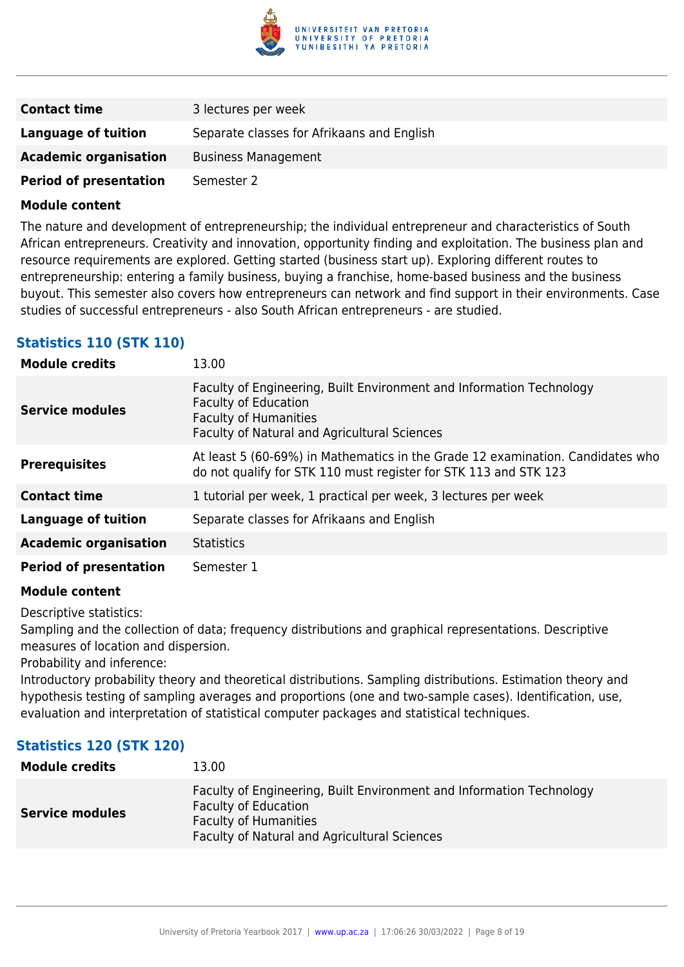

| <b>Contact time</b>           | 3 lectures per week                        |
|-------------------------------|--------------------------------------------|
| Language of tuition           | Separate classes for Afrikaans and English |
| <b>Academic organisation</b>  | <b>Business Management</b>                 |
| <b>Period of presentation</b> | Semester 2                                 |

The nature and development of entrepreneurship; the individual entrepreneur and characteristics of South African entrepreneurs. Creativity and innovation, opportunity finding and exploitation. The business plan and resource requirements are explored. Getting started (business start up). Exploring different routes to entrepreneurship: entering a family business, buying a franchise, home-based business and the business buyout. This semester also covers how entrepreneurs can network and find support in their environments. Case studies of successful entrepreneurs - also South African entrepreneurs - are studied.

## **Statistics 110 (STK 110)**

| <b>Module credits</b>         | 13.00                                                                                                                                                                               |
|-------------------------------|-------------------------------------------------------------------------------------------------------------------------------------------------------------------------------------|
| <b>Service modules</b>        | Faculty of Engineering, Built Environment and Information Technology<br><b>Faculty of Education</b><br><b>Faculty of Humanities</b><br>Faculty of Natural and Agricultural Sciences |
| <b>Prerequisites</b>          | At least 5 (60-69%) in Mathematics in the Grade 12 examination. Candidates who<br>do not qualify for STK 110 must register for STK 113 and STK 123                                  |
| <b>Contact time</b>           | 1 tutorial per week, 1 practical per week, 3 lectures per week                                                                                                                      |
| <b>Language of tuition</b>    | Separate classes for Afrikaans and English                                                                                                                                          |
| <b>Academic organisation</b>  | <b>Statistics</b>                                                                                                                                                                   |
| <b>Period of presentation</b> | Semester 1                                                                                                                                                                          |

#### **Module content**

Descriptive statistics:

Sampling and the collection of data; frequency distributions and graphical representations. Descriptive measures of location and dispersion.

Probability and inference:

Introductory probability theory and theoretical distributions. Sampling distributions. Estimation theory and hypothesis testing of sampling averages and proportions (one and two-sample cases). Identification, use, evaluation and interpretation of statistical computer packages and statistical techniques.

## **Statistics 120 (STK 120)**

| <b>Module credits</b>  | 13.00                                                                                                                                                                                      |
|------------------------|--------------------------------------------------------------------------------------------------------------------------------------------------------------------------------------------|
| <b>Service modules</b> | Faculty of Engineering, Built Environment and Information Technology<br><b>Faculty of Education</b><br><b>Faculty of Humanities</b><br><b>Faculty of Natural and Agricultural Sciences</b> |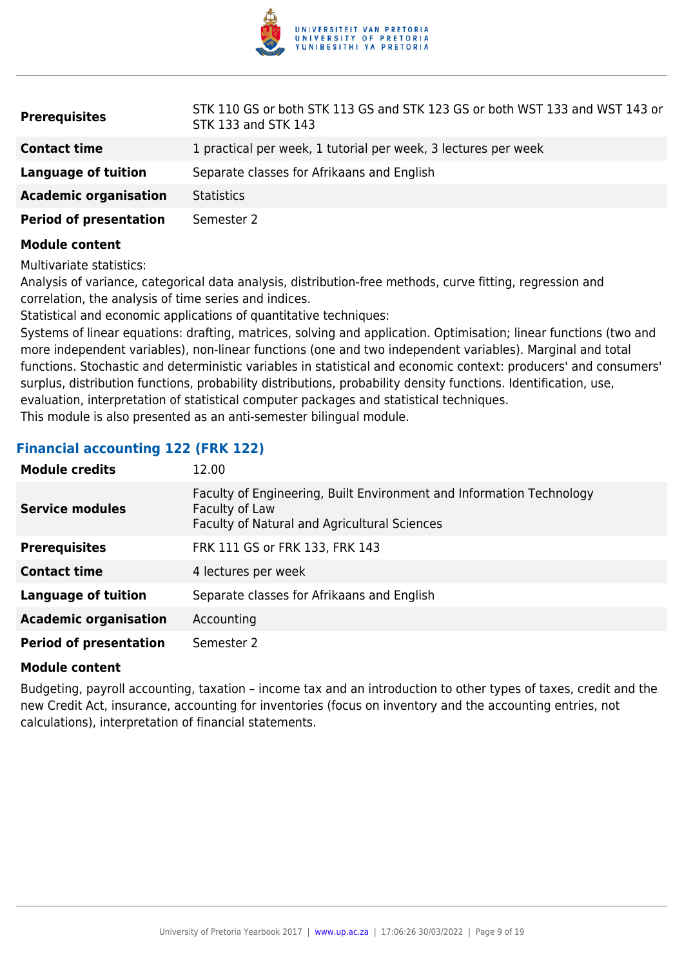

| <b>Prerequisites</b>          | STK 110 GS or both STK 113 GS and STK 123 GS or both WST 133 and WST 143 or<br>STK 133 and STK 143 |
|-------------------------------|----------------------------------------------------------------------------------------------------|
| <b>Contact time</b>           | 1 practical per week, 1 tutorial per week, 3 lectures per week                                     |
| Language of tuition           | Separate classes for Afrikaans and English                                                         |
| <b>Academic organisation</b>  | <b>Statistics</b>                                                                                  |
| <b>Period of presentation</b> | Semester 2                                                                                         |

Multivariate statistics:

Analysis of variance, categorical data analysis, distribution-free methods, curve fitting, regression and correlation, the analysis of time series and indices.

Statistical and economic applications of quantitative techniques:

Systems of linear equations: drafting, matrices, solving and application. Optimisation; linear functions (two and more independent variables), non-linear functions (one and two independent variables). Marginal and total functions. Stochastic and deterministic variables in statistical and economic context: producers' and consumers' surplus, distribution functions, probability distributions, probability density functions. Identification, use, evaluation, interpretation of statistical computer packages and statistical techniques. This module is also presented as an anti-semester bilingual module.

#### **Financial accounting 122 (FRK 122)**

| <b>Module credits</b>         | 12.00                                                                                                                                         |
|-------------------------------|-----------------------------------------------------------------------------------------------------------------------------------------------|
| <b>Service modules</b>        | Faculty of Engineering, Built Environment and Information Technology<br>Faculty of Law<br><b>Faculty of Natural and Agricultural Sciences</b> |
| <b>Prerequisites</b>          | FRK 111 GS or FRK 133, FRK 143                                                                                                                |
| <b>Contact time</b>           | 4 lectures per week                                                                                                                           |
| <b>Language of tuition</b>    | Separate classes for Afrikaans and English                                                                                                    |
| <b>Academic organisation</b>  | Accounting                                                                                                                                    |
| <b>Period of presentation</b> | Semester 2                                                                                                                                    |

#### **Module content**

Budgeting, payroll accounting, taxation – income tax and an introduction to other types of taxes, credit and the new Credit Act, insurance, accounting for inventories (focus on inventory and the accounting entries, not calculations), interpretation of financial statements.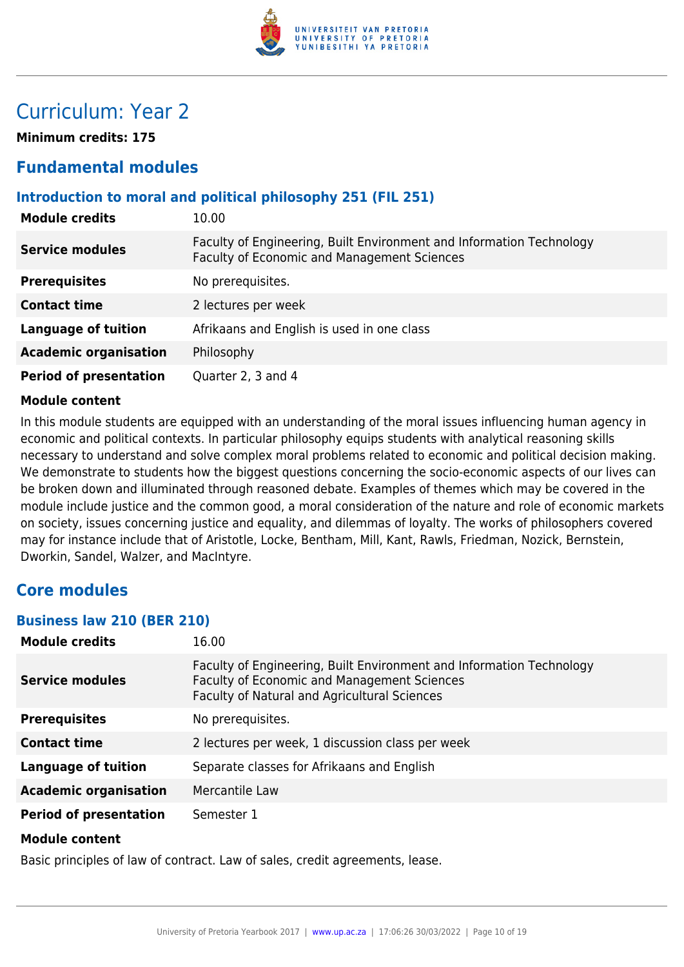

## Curriculum: Year 2

**Minimum credits: 175**

## **Fundamental modules**

## **Introduction to moral and political philosophy 251 (FIL 251)**

| <b>Module credits</b>         | 10.00                                                                                                               |
|-------------------------------|---------------------------------------------------------------------------------------------------------------------|
| <b>Service modules</b>        | Faculty of Engineering, Built Environment and Information Technology<br>Faculty of Economic and Management Sciences |
| <b>Prerequisites</b>          | No prerequisites.                                                                                                   |
| <b>Contact time</b>           | 2 lectures per week                                                                                                 |
| <b>Language of tuition</b>    | Afrikaans and English is used in one class                                                                          |
| <b>Academic organisation</b>  | Philosophy                                                                                                          |
| <b>Period of presentation</b> | Quarter 2, 3 and 4                                                                                                  |

#### **Module content**

In this module students are equipped with an understanding of the moral issues influencing human agency in economic and political contexts. In particular philosophy equips students with analytical reasoning skills necessary to understand and solve complex moral problems related to economic and political decision making. We demonstrate to students how the biggest questions concerning the socio-economic aspects of our lives can be broken down and illuminated through reasoned debate. Examples of themes which may be covered in the module include justice and the common good, a moral consideration of the nature and role of economic markets on society, issues concerning justice and equality, and dilemmas of loyalty. The works of philosophers covered may for instance include that of Aristotle, Locke, Bentham, Mill, Kant, Rawls, Friedman, Nozick, Bernstein, Dworkin, Sandel, Walzer, and MacIntyre.

## **Core modules**

#### **Business law 210 (BER 210)**

| <b>Module credits</b>         | 16.00                                                                                                                                                                      |
|-------------------------------|----------------------------------------------------------------------------------------------------------------------------------------------------------------------------|
| <b>Service modules</b>        | Faculty of Engineering, Built Environment and Information Technology<br><b>Faculty of Economic and Management Sciences</b><br>Faculty of Natural and Agricultural Sciences |
| <b>Prerequisites</b>          | No prerequisites.                                                                                                                                                          |
| <b>Contact time</b>           | 2 lectures per week, 1 discussion class per week                                                                                                                           |
| <b>Language of tuition</b>    | Separate classes for Afrikaans and English                                                                                                                                 |
| <b>Academic organisation</b>  | Mercantile Law                                                                                                                                                             |
| <b>Period of presentation</b> | Semester 1                                                                                                                                                                 |
| <b>Module content</b>         |                                                                                                                                                                            |

Basic principles of law of contract. Law of sales, credit agreements, lease.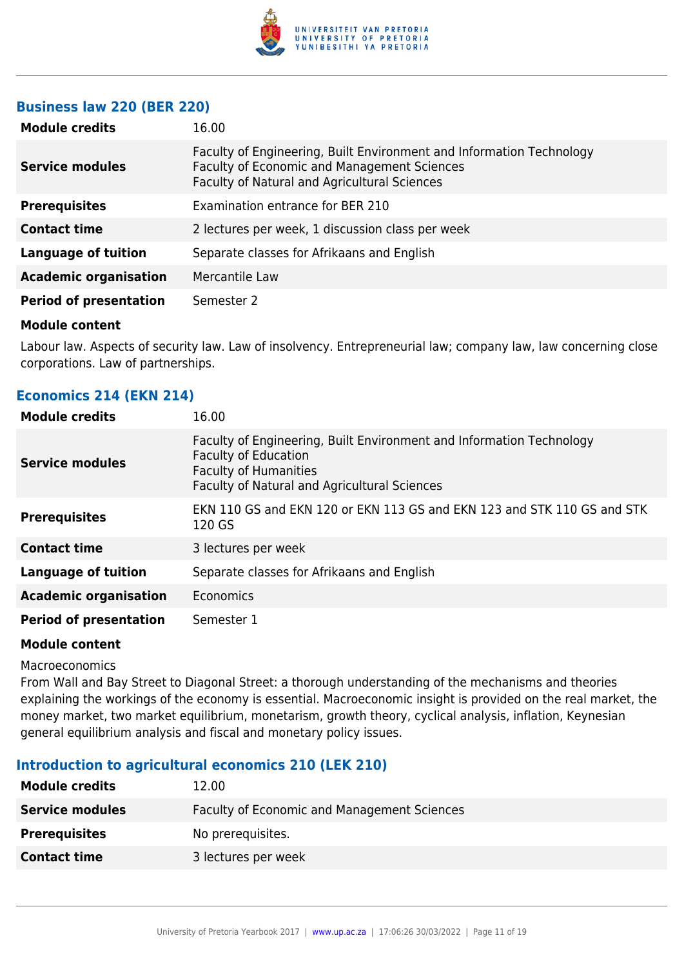

#### **Business law 220 (BER 220)**

| <b>Module credits</b>         | 16.00                                                                                                                                                               |
|-------------------------------|---------------------------------------------------------------------------------------------------------------------------------------------------------------------|
| <b>Service modules</b>        | Faculty of Engineering, Built Environment and Information Technology<br>Faculty of Economic and Management Sciences<br>Faculty of Natural and Agricultural Sciences |
| <b>Prerequisites</b>          | Examination entrance for BER 210                                                                                                                                    |
| <b>Contact time</b>           | 2 lectures per week, 1 discussion class per week                                                                                                                    |
| <b>Language of tuition</b>    | Separate classes for Afrikaans and English                                                                                                                          |
| <b>Academic organisation</b>  | Mercantile Law                                                                                                                                                      |
| <b>Period of presentation</b> | Semester 2                                                                                                                                                          |
|                               |                                                                                                                                                                     |

#### **Module content**

Labour law. Aspects of security law. Law of insolvency. Entrepreneurial law; company law, law concerning close corporations. Law of partnerships.

| Economics 214 (EKN 214) |  |  |
|-------------------------|--|--|
|                         |  |  |

| <b>Module credits</b>         | 16.00                                                                                                                                                                        |
|-------------------------------|------------------------------------------------------------------------------------------------------------------------------------------------------------------------------|
| Service modules               | Faculty of Engineering, Built Environment and Information Technology<br>Faculty of Education<br><b>Faculty of Humanities</b><br>Faculty of Natural and Agricultural Sciences |
| <b>Prerequisites</b>          | EKN 110 GS and EKN 120 or EKN 113 GS and EKN 123 and STK 110 GS and STK<br>120 GS                                                                                            |
| <b>Contact time</b>           | 3 lectures per week                                                                                                                                                          |
| <b>Language of tuition</b>    | Separate classes for Afrikaans and English                                                                                                                                   |
| <b>Academic organisation</b>  | <b>Economics</b>                                                                                                                                                             |
| <b>Period of presentation</b> | Semester 1                                                                                                                                                                   |

#### **Module content**

Macroeconomics

From Wall and Bay Street to Diagonal Street: a thorough understanding of the mechanisms and theories explaining the workings of the economy is essential. Macroeconomic insight is provided on the real market, the money market, two market equilibrium, monetarism, growth theory, cyclical analysis, inflation, Keynesian general equilibrium analysis and fiscal and monetary policy issues.

#### **Introduction to agricultural economics 210 (LEK 210)**

| <b>Module credits</b>  | 12.00                                       |
|------------------------|---------------------------------------------|
| <b>Service modules</b> | Faculty of Economic and Management Sciences |
| <b>Prerequisites</b>   | No prerequisites.                           |
| <b>Contact time</b>    | 3 lectures per week                         |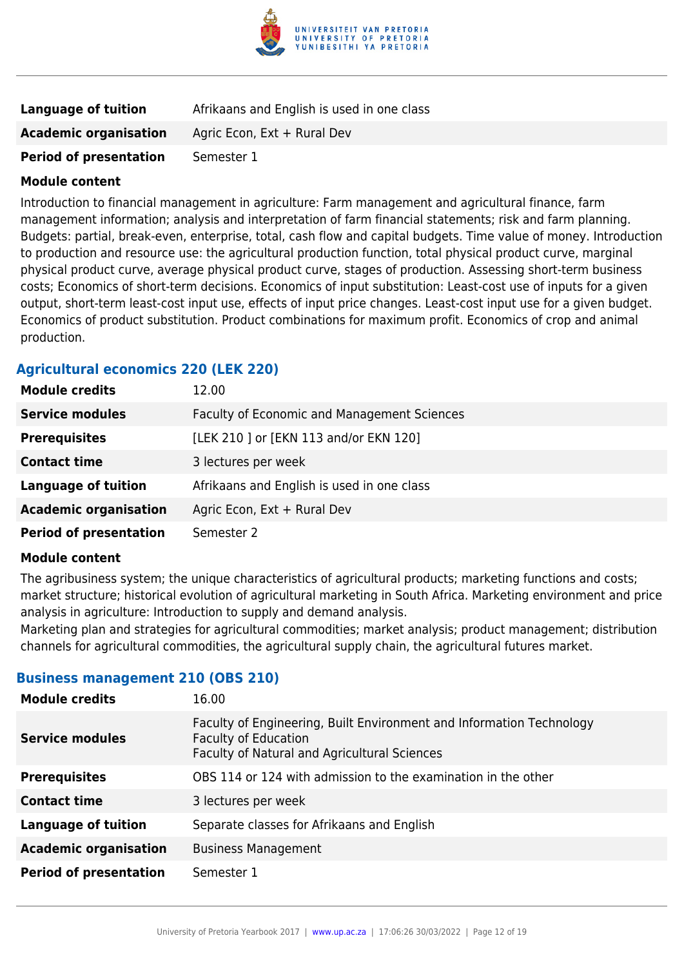

| Language of tuition           | Afrikaans and English is used in one class |
|-------------------------------|--------------------------------------------|
| <b>Academic organisation</b>  | Agric Econ, Ext + Rural Dev                |
| <b>Period of presentation</b> | Semester 1                                 |

Introduction to financial management in agriculture: Farm management and agricultural finance, farm management information; analysis and interpretation of farm financial statements; risk and farm planning. Budgets: partial, break-even, enterprise, total, cash flow and capital budgets. Time value of money. Introduction to production and resource use: the agricultural production function, total physical product curve, marginal physical product curve, average physical product curve, stages of production. Assessing short-term business costs; Economics of short-term decisions. Economics of input substitution: Least-cost use of inputs for a given output, short-term least-cost input use, effects of input price changes. Least-cost input use for a given budget. Economics of product substitution. Product combinations for maximum profit. Economics of crop and animal production.

## **Agricultural economics 220 (LEK 220)**

| <b>Module credits</b>         | 12.00                                       |
|-------------------------------|---------------------------------------------|
| <b>Service modules</b>        | Faculty of Economic and Management Sciences |
| <b>Prerequisites</b>          | [LEK 210 ] or [EKN 113 and/or EKN 120]      |
| <b>Contact time</b>           | 3 lectures per week                         |
| <b>Language of tuition</b>    | Afrikaans and English is used in one class  |
| <b>Academic organisation</b>  | Agric Econ, Ext + Rural Dev                 |
| <b>Period of presentation</b> | Semester 2                                  |

#### **Module content**

The agribusiness system; the unique characteristics of agricultural products; marketing functions and costs; market structure; historical evolution of agricultural marketing in South Africa. Marketing environment and price analysis in agriculture: Introduction to supply and demand analysis.

Marketing plan and strategies for agricultural commodities; market analysis; product management; distribution channels for agricultural commodities, the agricultural supply chain, the agricultural futures market.

#### **Business management 210 (OBS 210)**

| <b>Module credits</b>         | 16.00                                                                                                                                               |
|-------------------------------|-----------------------------------------------------------------------------------------------------------------------------------------------------|
| <b>Service modules</b>        | Faculty of Engineering, Built Environment and Information Technology<br><b>Faculty of Education</b><br>Faculty of Natural and Agricultural Sciences |
| <b>Prerequisites</b>          | OBS 114 or 124 with admission to the examination in the other                                                                                       |
| <b>Contact time</b>           | 3 lectures per week                                                                                                                                 |
| <b>Language of tuition</b>    | Separate classes for Afrikaans and English                                                                                                          |
| <b>Academic organisation</b>  | <b>Business Management</b>                                                                                                                          |
| <b>Period of presentation</b> | Semester 1                                                                                                                                          |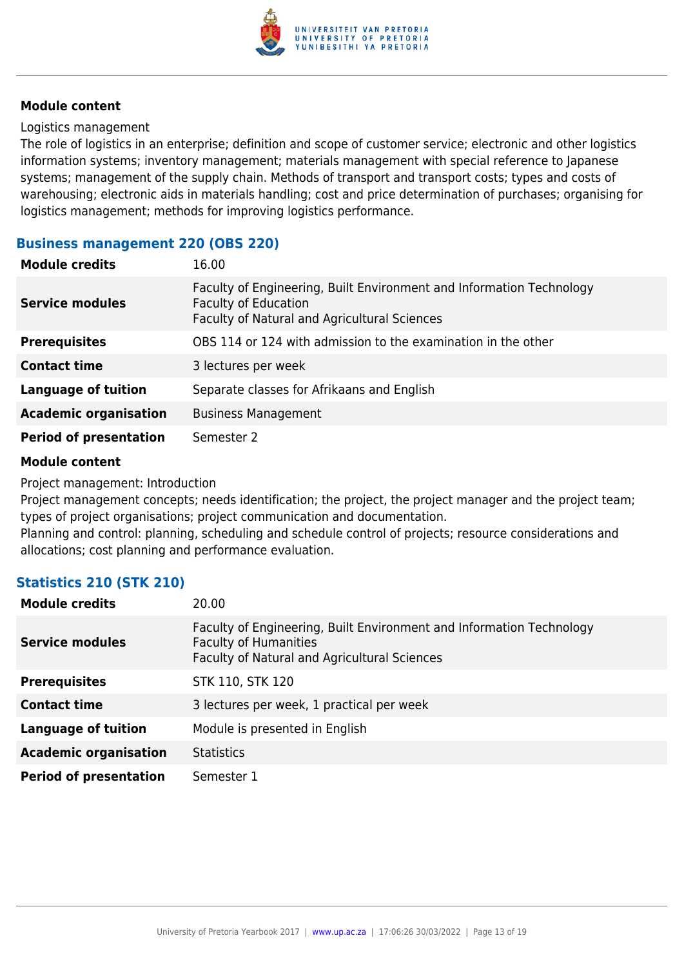

#### Logistics management

The role of logistics in an enterprise; definition and scope of customer service; electronic and other logistics information systems; inventory management; materials management with special reference to Japanese systems; management of the supply chain. Methods of transport and transport costs; types and costs of warehousing; electronic aids in materials handling; cost and price determination of purchases; organising for logistics management; methods for improving logistics performance.

#### **Business management 220 (OBS 220)**

| <b>Module credits</b>         | 16.00                                                                                                                                               |
|-------------------------------|-----------------------------------------------------------------------------------------------------------------------------------------------------|
| <b>Service modules</b>        | Faculty of Engineering, Built Environment and Information Technology<br><b>Faculty of Education</b><br>Faculty of Natural and Agricultural Sciences |
| <b>Prerequisites</b>          | OBS 114 or 124 with admission to the examination in the other                                                                                       |
| <b>Contact time</b>           | 3 lectures per week                                                                                                                                 |
| <b>Language of tuition</b>    | Separate classes for Afrikaans and English                                                                                                          |
| <b>Academic organisation</b>  | <b>Business Management</b>                                                                                                                          |
| <b>Period of presentation</b> | Semester 2                                                                                                                                          |

#### **Module content**

Project management: Introduction

Project management concepts; needs identification; the project, the project manager and the project team; types of project organisations; project communication and documentation.

Planning and control: planning, scheduling and schedule control of projects; resource considerations and allocations; cost planning and performance evaluation.

## **Statistics 210 (STK 210)**

| <b>Module credits</b>         | 20.00                                                                                                                                                |
|-------------------------------|------------------------------------------------------------------------------------------------------------------------------------------------------|
| <b>Service modules</b>        | Faculty of Engineering, Built Environment and Information Technology<br><b>Faculty of Humanities</b><br>Faculty of Natural and Agricultural Sciences |
| <b>Prerequisites</b>          | STK 110, STK 120                                                                                                                                     |
| <b>Contact time</b>           | 3 lectures per week, 1 practical per week                                                                                                            |
| <b>Language of tuition</b>    | Module is presented in English                                                                                                                       |
| <b>Academic organisation</b>  | <b>Statistics</b>                                                                                                                                    |
| <b>Period of presentation</b> | Semester 1                                                                                                                                           |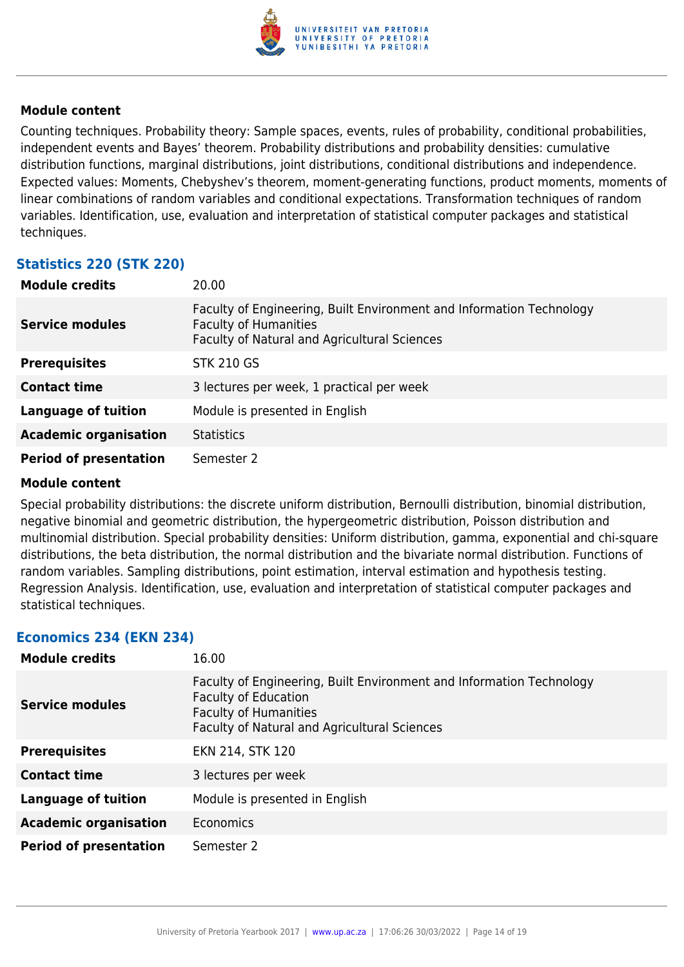

Counting techniques. Probability theory: Sample spaces, events, rules of probability, conditional probabilities, independent events and Bayes' theorem. Probability distributions and probability densities: cumulative distribution functions, marginal distributions, joint distributions, conditional distributions and independence. Expected values: Moments, Chebyshev's theorem, moment-generating functions, product moments, moments of linear combinations of random variables and conditional expectations. Transformation techniques of random variables. Identification, use, evaluation and interpretation of statistical computer packages and statistical techniques.

## **Statistics 220 (STK 220)**

| <b>Module credits</b>         | 20.00                                                                                                                                                |
|-------------------------------|------------------------------------------------------------------------------------------------------------------------------------------------------|
| <b>Service modules</b>        | Faculty of Engineering, Built Environment and Information Technology<br><b>Faculty of Humanities</b><br>Faculty of Natural and Agricultural Sciences |
| <b>Prerequisites</b>          | <b>STK 210 GS</b>                                                                                                                                    |
| <b>Contact time</b>           | 3 lectures per week, 1 practical per week                                                                                                            |
| <b>Language of tuition</b>    | Module is presented in English                                                                                                                       |
| <b>Academic organisation</b>  | <b>Statistics</b>                                                                                                                                    |
| <b>Period of presentation</b> | Semester 2                                                                                                                                           |

#### **Module content**

Special probability distributions: the discrete uniform distribution, Bernoulli distribution, binomial distribution, negative binomial and geometric distribution, the hypergeometric distribution, Poisson distribution and multinomial distribution. Special probability densities: Uniform distribution, gamma, exponential and chi-square distributions, the beta distribution, the normal distribution and the bivariate normal distribution. Functions of random variables. Sampling distributions, point estimation, interval estimation and hypothesis testing. Regression Analysis. Identification, use, evaluation and interpretation of statistical computer packages and statistical techniques.

#### **Economics 234 (EKN 234)**

| <b>Module credits</b>         | 16.00                                                                                                                                                                               |
|-------------------------------|-------------------------------------------------------------------------------------------------------------------------------------------------------------------------------------|
| Service modules               | Faculty of Engineering, Built Environment and Information Technology<br><b>Faculty of Education</b><br><b>Faculty of Humanities</b><br>Faculty of Natural and Agricultural Sciences |
| <b>Prerequisites</b>          | EKN 214, STK 120                                                                                                                                                                    |
| <b>Contact time</b>           | 3 lectures per week                                                                                                                                                                 |
| Language of tuition           | Module is presented in English                                                                                                                                                      |
| <b>Academic organisation</b>  | Economics                                                                                                                                                                           |
| <b>Period of presentation</b> | Semester 2                                                                                                                                                                          |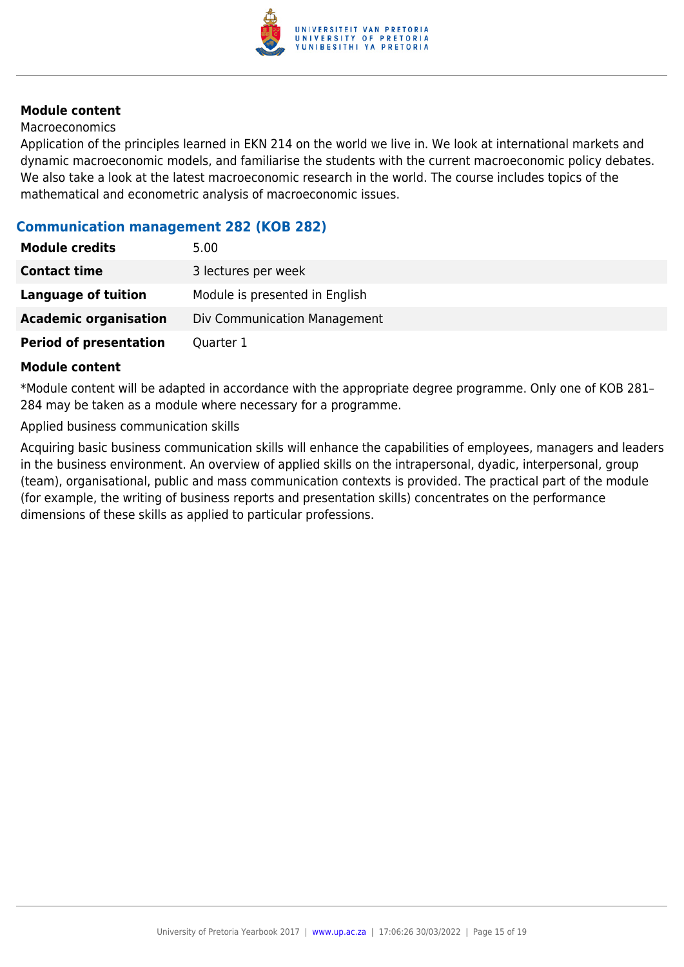

#### Macroeconomics

Application of the principles learned in EKN 214 on the world we live in. We look at international markets and dynamic macroeconomic models, and familiarise the students with the current macroeconomic policy debates. We also take a look at the latest macroeconomic research in the world. The course includes topics of the mathematical and econometric analysis of macroeconomic issues.

#### **Communication management 282 (KOB 282)**

| <b>Module credits</b>         | 5.00                           |
|-------------------------------|--------------------------------|
| <b>Contact time</b>           | 3 lectures per week            |
| <b>Language of tuition</b>    | Module is presented in English |
| <b>Academic organisation</b>  | Div Communication Management   |
| <b>Period of presentation</b> | Quarter 1                      |

#### **Module content**

\*Module content will be adapted in accordance with the appropriate degree programme. Only one of KOB 281– 284 may be taken as a module where necessary for a programme.

Applied business communication skills

Acquiring basic business communication skills will enhance the capabilities of employees, managers and leaders in the business environment. An overview of applied skills on the intrapersonal, dyadic, interpersonal, group (team), organisational, public and mass communication contexts is provided. The practical part of the module (for example, the writing of business reports and presentation skills) concentrates on the performance dimensions of these skills as applied to particular professions.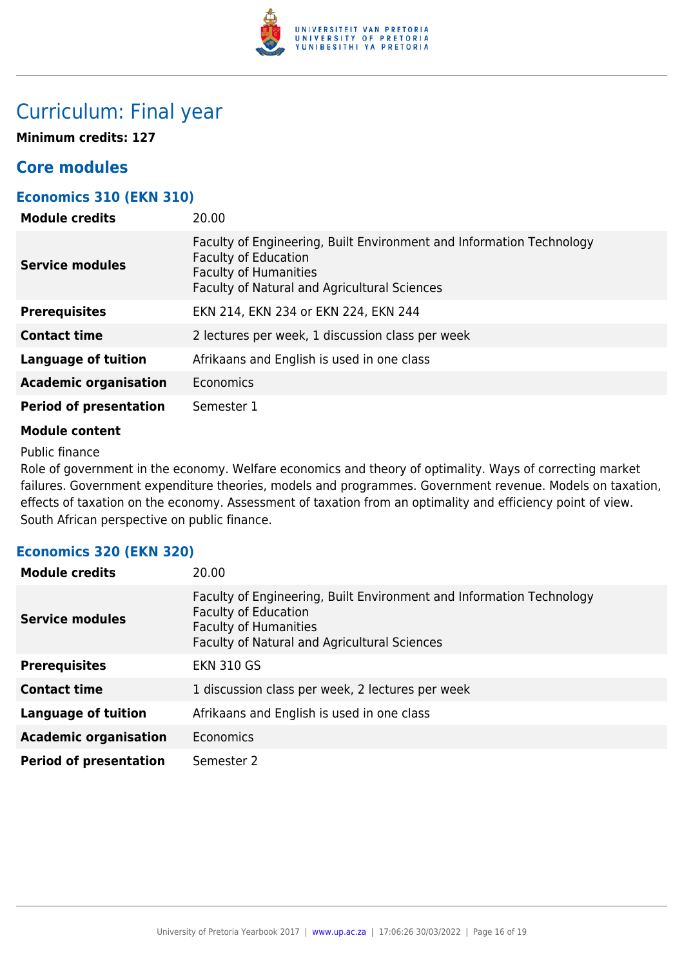

## Curriculum: Final year

**Minimum credits: 127**

## **Core modules**

## **Economics 310 (EKN 310)**

| <b>Module credits</b>         | 20.00                                                                                                                                                                               |
|-------------------------------|-------------------------------------------------------------------------------------------------------------------------------------------------------------------------------------|
| <b>Service modules</b>        | Faculty of Engineering, Built Environment and Information Technology<br><b>Faculty of Education</b><br><b>Faculty of Humanities</b><br>Faculty of Natural and Agricultural Sciences |
| <b>Prerequisites</b>          | EKN 214, EKN 234 or EKN 224, EKN 244                                                                                                                                                |
| <b>Contact time</b>           | 2 lectures per week, 1 discussion class per week                                                                                                                                    |
| <b>Language of tuition</b>    | Afrikaans and English is used in one class                                                                                                                                          |
| <b>Academic organisation</b>  | Economics                                                                                                                                                                           |
| <b>Period of presentation</b> | Semester 1                                                                                                                                                                          |

#### **Module content**

Public finance

Role of government in the economy. Welfare economics and theory of optimality. Ways of correcting market failures. Government expenditure theories, models and programmes. Government revenue. Models on taxation, effects of taxation on the economy. Assessment of taxation from an optimality and efficiency point of view. South African perspective on public finance.

## **Economics 320 (EKN 320)**

| <b>Module credits</b>         | 20.00                                                                                                                                                                               |
|-------------------------------|-------------------------------------------------------------------------------------------------------------------------------------------------------------------------------------|
| <b>Service modules</b>        | Faculty of Engineering, Built Environment and Information Technology<br><b>Faculty of Education</b><br><b>Faculty of Humanities</b><br>Faculty of Natural and Agricultural Sciences |
| <b>Prerequisites</b>          | <b>EKN 310 GS</b>                                                                                                                                                                   |
| <b>Contact time</b>           | 1 discussion class per week, 2 lectures per week                                                                                                                                    |
| <b>Language of tuition</b>    | Afrikaans and English is used in one class                                                                                                                                          |
| <b>Academic organisation</b>  | Economics                                                                                                                                                                           |
| <b>Period of presentation</b> | Semester 2                                                                                                                                                                          |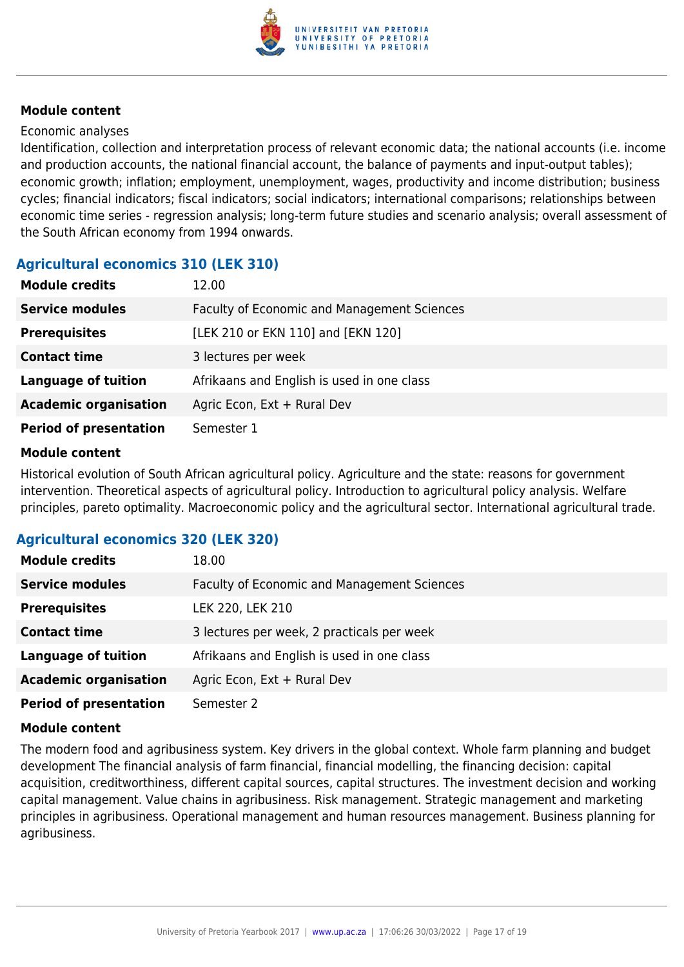

#### Economic analyses

Identification, collection and interpretation process of relevant economic data; the national accounts (i.e. income and production accounts, the national financial account, the balance of payments and input-output tables); economic growth; inflation; employment, unemployment, wages, productivity and income distribution; business cycles; financial indicators; fiscal indicators; social indicators; international comparisons; relationships between economic time series - regression analysis; long-term future studies and scenario analysis; overall assessment of the South African economy from 1994 onwards.

## **Agricultural economics 310 (LEK 310)**

| <b>Module credits</b>         | 12.00                                              |
|-------------------------------|----------------------------------------------------|
| <b>Service modules</b>        | <b>Faculty of Economic and Management Sciences</b> |
| <b>Prerequisites</b>          | [LEK 210 or EKN 110] and [EKN 120]                 |
| <b>Contact time</b>           | 3 lectures per week                                |
| <b>Language of tuition</b>    | Afrikaans and English is used in one class         |
| <b>Academic organisation</b>  | Agric Econ, Ext + Rural Dev                        |
| <b>Period of presentation</b> | Semester 1                                         |

#### **Module content**

Historical evolution of South African agricultural policy. Agriculture and the state: reasons for government intervention. Theoretical aspects of agricultural policy. Introduction to agricultural policy analysis. Welfare principles, pareto optimality. Macroeconomic policy and the agricultural sector. International agricultural trade.

## **Agricultural economics 320 (LEK 320)**

| <b>Module credits</b>         | 18.00                                              |
|-------------------------------|----------------------------------------------------|
| <b>Service modules</b>        | <b>Faculty of Economic and Management Sciences</b> |
| <b>Prerequisites</b>          | LEK 220, LEK 210                                   |
| <b>Contact time</b>           | 3 lectures per week, 2 practicals per week         |
| <b>Language of tuition</b>    | Afrikaans and English is used in one class         |
| <b>Academic organisation</b>  | Agric Econ, Ext + Rural Dev                        |
| <b>Period of presentation</b> | Semester 2                                         |

#### **Module content**

The modern food and agribusiness system. Key drivers in the global context. Whole farm planning and budget development The financial analysis of farm financial, financial modelling, the financing decision: capital acquisition, creditworthiness, different capital sources, capital structures. The investment decision and working capital management. Value chains in agribusiness. Risk management. Strategic management and marketing principles in agribusiness. Operational management and human resources management. Business planning for agribusiness.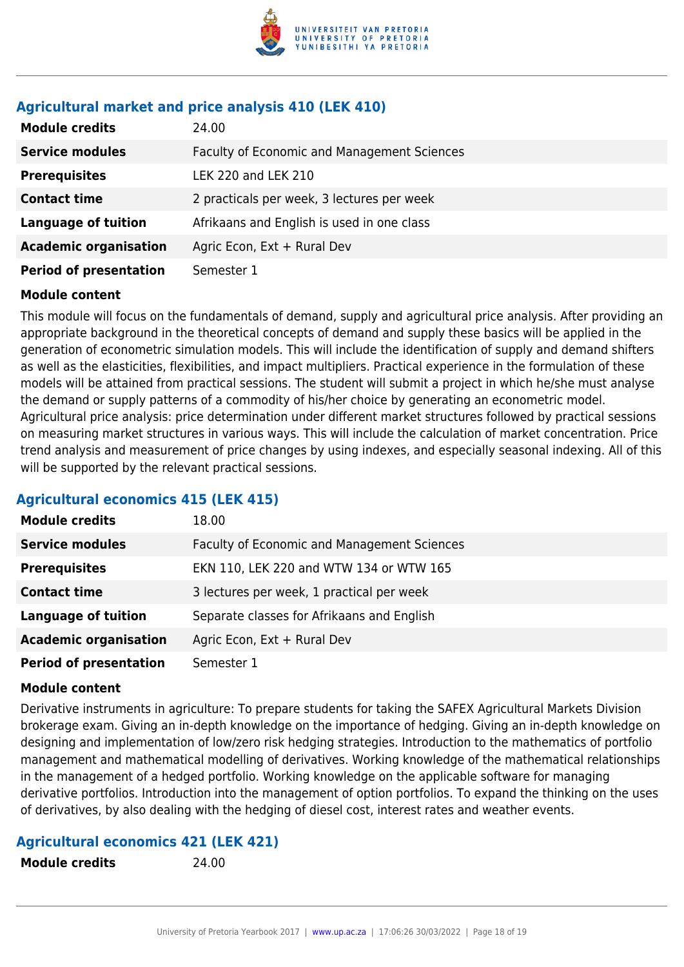

## **Agricultural market and price analysis 410 (LEK 410)**

| <b>Module credits</b>         | 24.00                                       |
|-------------------------------|---------------------------------------------|
| <b>Service modules</b>        | Faculty of Economic and Management Sciences |
| <b>Prerequisites</b>          | LEK 220 and LEK 210                         |
| <b>Contact time</b>           | 2 practicals per week, 3 lectures per week  |
| <b>Language of tuition</b>    | Afrikaans and English is used in one class  |
| <b>Academic organisation</b>  | Agric Econ, Ext + Rural Dev                 |
| <b>Period of presentation</b> | Semester 1                                  |

## **Module content**

This module will focus on the fundamentals of demand, supply and agricultural price analysis. After providing an appropriate background in the theoretical concepts of demand and supply these basics will be applied in the generation of econometric simulation models. This will include the identification of supply and demand shifters as well as the elasticities, flexibilities, and impact multipliers. Practical experience in the formulation of these models will be attained from practical sessions. The student will submit a project in which he/she must analyse the demand or supply patterns of a commodity of his/her choice by generating an econometric model. Agricultural price analysis: price determination under different market structures followed by practical sessions on measuring market structures in various ways. This will include the calculation of market concentration. Price trend analysis and measurement of price changes by using indexes, and especially seasonal indexing. All of this will be supported by the relevant practical sessions.

## **Agricultural economics 415 (LEK 415)**

| <b>Module credits</b>         | 18.00                                       |
|-------------------------------|---------------------------------------------|
| <b>Service modules</b>        | Faculty of Economic and Management Sciences |
| <b>Prerequisites</b>          | EKN 110, LEK 220 and WTW 134 or WTW 165     |
| <b>Contact time</b>           | 3 lectures per week, 1 practical per week   |
| <b>Language of tuition</b>    | Separate classes for Afrikaans and English  |
| <b>Academic organisation</b>  | Agric Econ, Ext + Rural Dev                 |
| <b>Period of presentation</b> | Semester 1                                  |

## **Module content**

Derivative instruments in agriculture: To prepare students for taking the SAFEX Agricultural Markets Division brokerage exam. Giving an in-depth knowledge on the importance of hedging. Giving an in-depth knowledge on designing and implementation of low/zero risk hedging strategies. Introduction to the mathematics of portfolio management and mathematical modelling of derivatives. Working knowledge of the mathematical relationships in the management of a hedged portfolio. Working knowledge on the applicable software for managing derivative portfolios. Introduction into the management of option portfolios. To expand the thinking on the uses of derivatives, by also dealing with the hedging of diesel cost, interest rates and weather events.

## **Agricultural economics 421 (LEK 421)**

**Module credits** 24.00